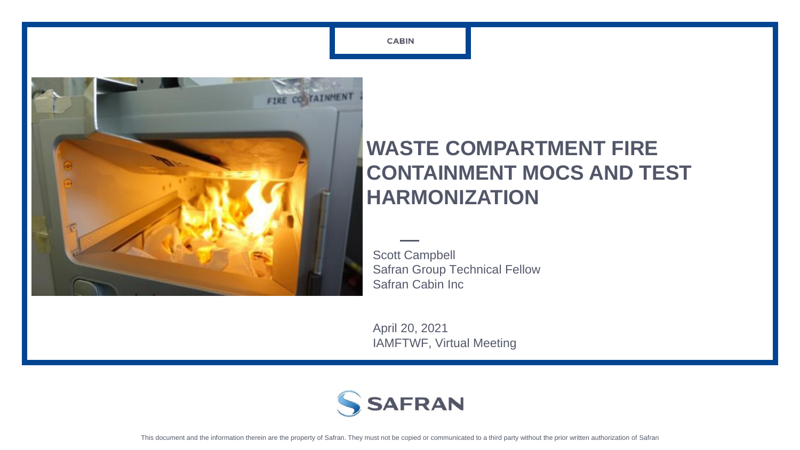**CABIN** 



### **WASTE COMPARTMENT FIRE CONTAINMENT MOCS AND TEST HARMONIZATION**

Scott Campbell Safran Group Technical Fellow Safran Cabin Inc

April 20, 2021 IAMFTWF, Virtual Meeting



This document and the information therein are the property of Safran. They must not be copied or communicated to a third party without the prior written authorization of Safran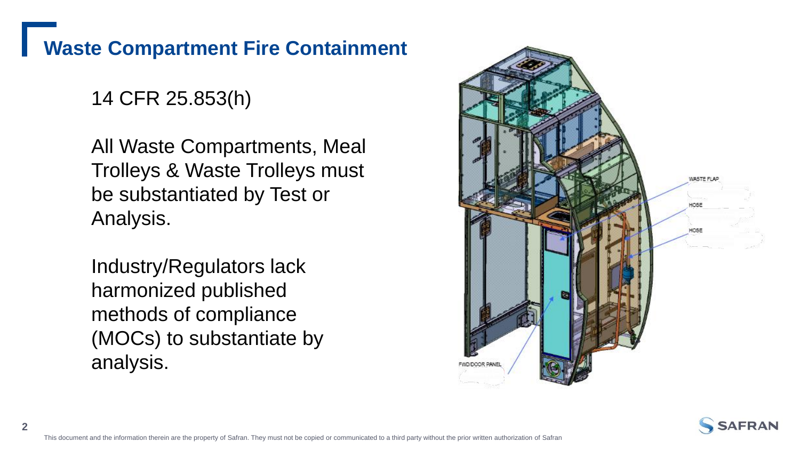## **Waste Compartment Fire Containment**

14 CFR 25.853(h)

All Waste Compartments, Meal Trolleys & Waste Trolleys must be substantiated by Test or Analysis.

Industry/Regulators lack harmonized published methods of compliance (MOCs) to substantiate by analysis.



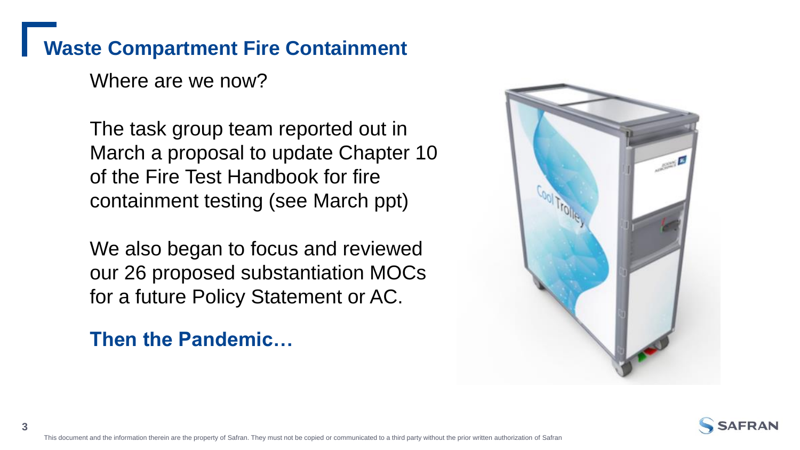#### **Waste Compartment Fire Containment**

Where are we now?

The task group team reported out in March a proposal to update Chapter 10 of the Fire Test Handbook for fire containment testing (see March ppt)

We also began to focus and reviewed our 26 proposed substantiation MOCs for a future Policy Statement or AC.

### **Then the Pandemic…**



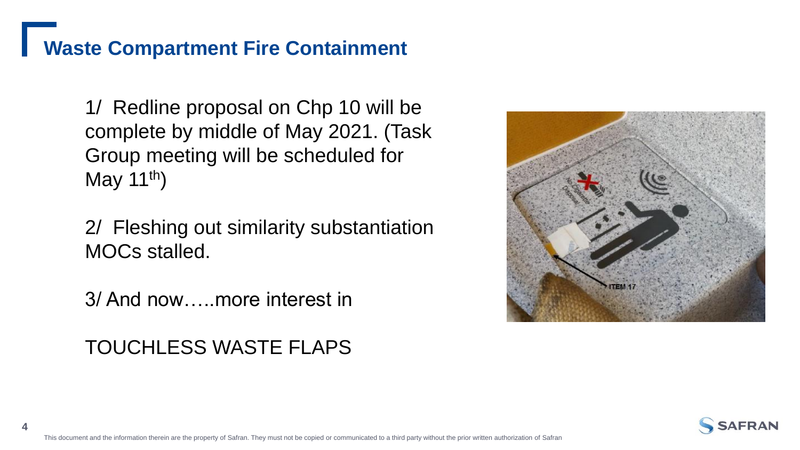### **Waste Compartment Fire Containment**

1/ Redline proposal on Chp 10 will be complete by middle of May 2021. (Task Group meeting will be scheduled for May  $11^{th}$ )

2/ Fleshing out similarity substantiation MOCs stalled.

3/ And now…..more interest in

TOUCHLESS WASTE FLAPS



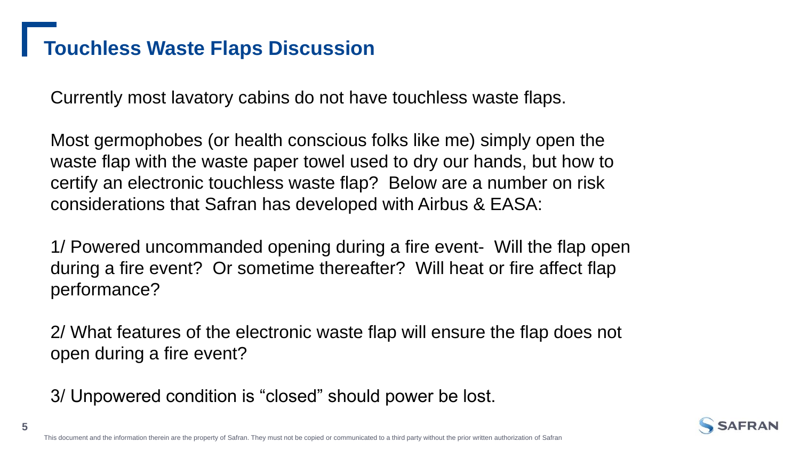# **Touchless Waste Flaps Discussion**

Currently most lavatory cabins do not have touchless waste flaps.

Most germophobes (or health conscious folks like me) simply open the waste flap with the waste paper towel used to dry our hands, but how to certify an electronic touchless waste flap? Below are a number on risk considerations that Safran has developed with Airbus & EASA:

1/ Powered uncommanded opening during a fire event- Will the flap open during a fire event? Or sometime thereafter? Will heat or fire affect flap performance?

2/ What features of the electronic waste flap will ensure the flap does not open during a fire event?

3/ Unpowered condition is "closed" should power be lost.

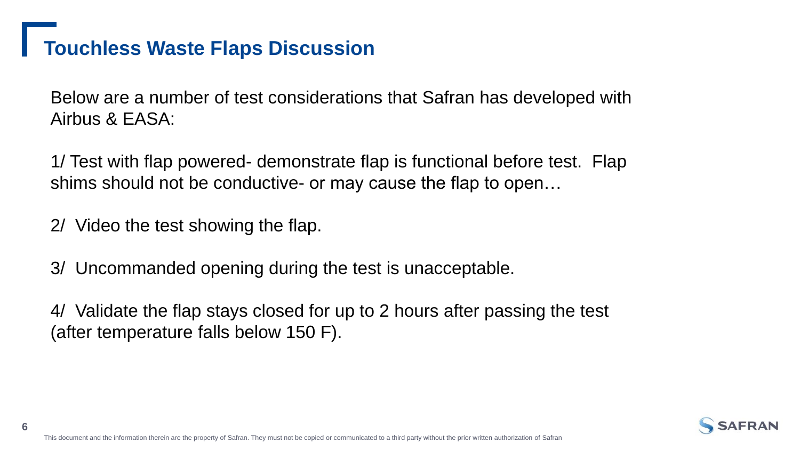## **Touchless Waste Flaps Discussion**

Below are a number of test considerations that Safran has developed with Airbus & EASA:

1/ Test with flap powered- demonstrate flap is functional before test. Flap shims should not be conductive- or may cause the flap to open…

- 2/ Video the test showing the flap.
- 3/ Uncommanded opening during the test is unacceptable.

4/ Validate the flap stays closed for up to 2 hours after passing the test (after temperature falls below 150 F).

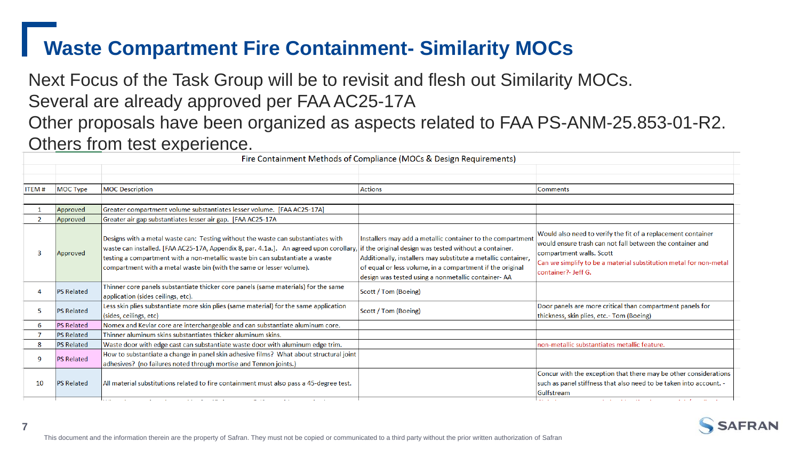# **Waste Compartment Fire Containment- Similarity MOCs**

Next Focus of the Task Group will be to revisit and flesh out Similarity MOCs. Several are already approved per FAA AC25-17A Other proposals have been organized as aspects related to FAA PS-ANM-25.853-01-R2. Others from test experience.

| Fire Containment Methods of Compliance (MOCs & Design Requirements) |                   |                                                                                                                                                                                                                                                                                                                                                                                           |                                                                                                                                                                                                                                                 |                                                                                                                                                                                                                                                         |
|---------------------------------------------------------------------|-------------------|-------------------------------------------------------------------------------------------------------------------------------------------------------------------------------------------------------------------------------------------------------------------------------------------------------------------------------------------------------------------------------------------|-------------------------------------------------------------------------------------------------------------------------------------------------------------------------------------------------------------------------------------------------|---------------------------------------------------------------------------------------------------------------------------------------------------------------------------------------------------------------------------------------------------------|
|                                                                     |                   |                                                                                                                                                                                                                                                                                                                                                                                           |                                                                                                                                                                                                                                                 |                                                                                                                                                                                                                                                         |
|                                                                     |                   |                                                                                                                                                                                                                                                                                                                                                                                           |                                                                                                                                                                                                                                                 |                                                                                                                                                                                                                                                         |
| <b>ITEM#</b>                                                        | <b>MOC Type</b>   | <b>MOC</b> Description                                                                                                                                                                                                                                                                                                                                                                    | <b>Actions</b>                                                                                                                                                                                                                                  | <b>Comments</b>                                                                                                                                                                                                                                         |
|                                                                     |                   |                                                                                                                                                                                                                                                                                                                                                                                           |                                                                                                                                                                                                                                                 |                                                                                                                                                                                                                                                         |
|                                                                     | Approved          | Greater compartment volume substantiates lesser volume. [FAA AC25-17A]                                                                                                                                                                                                                                                                                                                    |                                                                                                                                                                                                                                                 |                                                                                                                                                                                                                                                         |
|                                                                     | Approved          | Greater air gap substantiates lesser air gap. [FAA AC25-17A]                                                                                                                                                                                                                                                                                                                              |                                                                                                                                                                                                                                                 |                                                                                                                                                                                                                                                         |
|                                                                     | Approved          | Designs with a metal waste can: Testing without the waste can substantiates with<br>waste can installed. [FAA AC25-17A, Appendix 8, par. 4.1a.]. An agreed upon corollary, if the original design was tested without a container.<br>testing a compartment with a non-metallic waste bin can substantiate a waste<br>compartment with a metal waste bin (with the same or lesser volume). | Installers may add a metallic container to the compartment<br>Additionally, installers may substitute a metallic container,<br>of equal or less volume, in a compartment if the original<br>design was tested using a nonmetallic container- AA | Would also need to verify the fit of a replacement container<br>would ensure trash can not fall between the container and<br>compartment walls. Scott<br>Can we simplify to be a material substitution metal for non-metal<br>container?- Jeff G.       |
|                                                                     | <b>PS Related</b> | Thinner core panels substantiate thicker core panels (same materials) for the same<br>application (sides ceilings, etc).                                                                                                                                                                                                                                                                  | Scott / Tom (Boeing)                                                                                                                                                                                                                            |                                                                                                                                                                                                                                                         |
|                                                                     | <b>PS Related</b> | Less skin plies substantiate more skin plies (same material) for the same application<br>(sides, ceilings, etc)                                                                                                                                                                                                                                                                           | Scott / Tom (Boeing)                                                                                                                                                                                                                            | Door panels are more critical than compartment panels for<br>thickness, skin plies, etc.- Tom (Boeing)                                                                                                                                                  |
| 6                                                                   | <b>PS Related</b> | Nomex and Kevlar core are interchangeable and can substantiate aluminum core.                                                                                                                                                                                                                                                                                                             |                                                                                                                                                                                                                                                 |                                                                                                                                                                                                                                                         |
|                                                                     | <b>PS Related</b> | Thinner aluminum skins substantiates thicker aluminum skins.                                                                                                                                                                                                                                                                                                                              |                                                                                                                                                                                                                                                 |                                                                                                                                                                                                                                                         |
| 8                                                                   | <b>PS Related</b> | Waste door with edge cast can substantiate waste door with aluminum edge trim.                                                                                                                                                                                                                                                                                                            |                                                                                                                                                                                                                                                 | non-metallic substantiates metallic feature.                                                                                                                                                                                                            |
| 9                                                                   | <b>PS Related</b> | How to substantiate a change in panel skin adhesive films? What about structural joint<br>adhesives? (no failures noted through mortise and Tennon joints.)                                                                                                                                                                                                                               |                                                                                                                                                                                                                                                 |                                                                                                                                                                                                                                                         |
| 10                                                                  | <b>PS Related</b> | All material substitutions related to fire containment must also pass a 45-degree test.<br><b>Contract Contract</b><br>the contract of the con-<br>the company of the company of<br><b>Service</b><br>$\sim$<br><b>COL</b>                                                                                                                                                                |                                                                                                                                                                                                                                                 | Concur with the exception that there may be other considerations<br>such as panel stiffness that also need to be taken into account. -<br>Gulfstream<br><b>Carl All An</b><br>and a state of the control of<br>the contract of the contract of the con- |

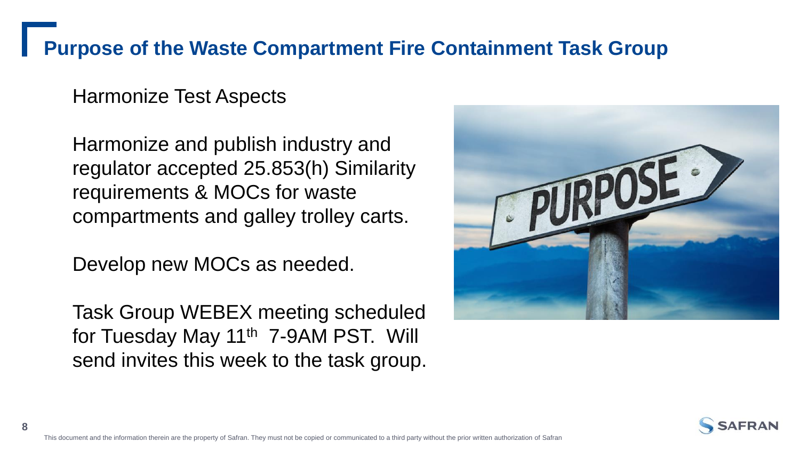### **Purpose of the Waste Compartment Fire Containment Task Group**

Harmonize Test Aspects

Harmonize and publish industry and regulator accepted 25.853(h) Similarity requirements & MOCs for waste compartments and galley trolley carts.

Develop new MOCs as needed.

Task Group WEBEX meeting scheduled for Tuesday May 11<sup>th</sup> 7-9AM PST. Will send invites this week to the task group.



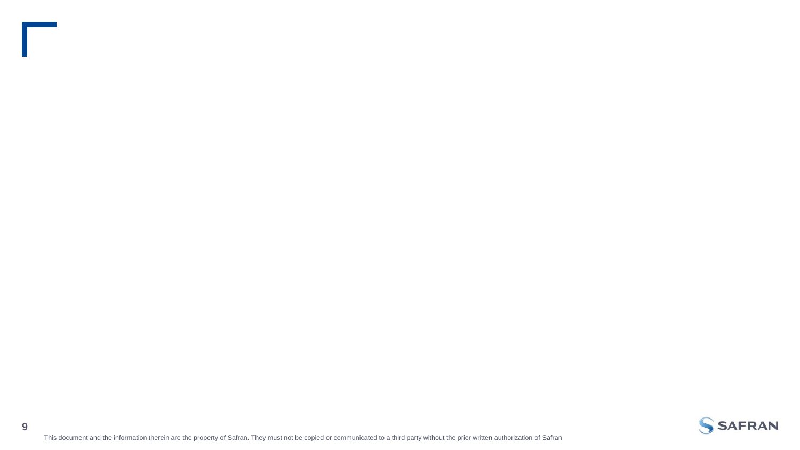

**9**